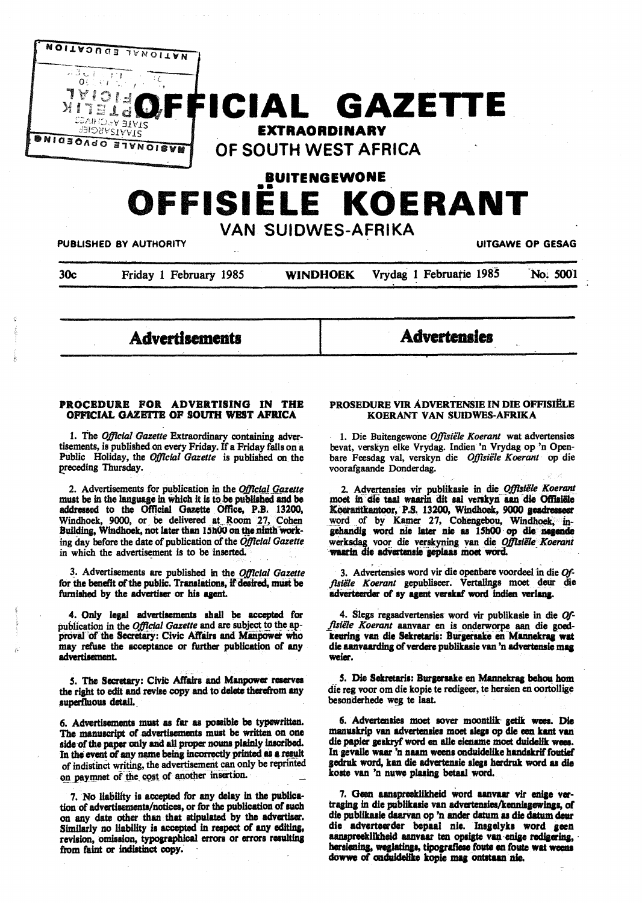

# **BUITENGEWONE OFFISIELE KOERANT**

VAN SUIDWES-AFRIKA

PUBLISHED BY AUTHORITY **UITGAWE OP GESAG** 

30c Friday 1 February 1985 **WINDHOEK** Vrydag 1 Februatie 1985 **No; 5001** 

**Advertisements** 

**Adverteala** 

## PROCEDURE FOR ADVERTISING IN THE **OfflCIAL GAZE'ITE OF SOUI'H WEST AFRICA**

1. The *Ojftclal Gazette* Extraordinary containing advertisements, is published on every Friday. If a Friday falls on a Public Holiday, the *Ojftclal Gazette* is published on the preceding Thursday.

2. Advertisements for publication in the *Official Gazette* must be in the language in which it is to be published and be addressed to the Official Gazette Office, P.B. 13200, Windhoek, 9000, or be delivered at Room 27, Cohen Building, Windhoek, not later than 15h00 on the ninth working day before the date of publication of the *Ojftclal Gazette*  in which the advertisement is to be inserted.

~- Advertisements are published in the *Ojftcial Gazette*  for the benefit of the public. Translations, if desired, must be furnished by the advertiser or his agent.

4. Only legal advertisements shall be accepted for publication in the *Official Gazette* and are subject to the approval of the Secretary: Civic Affairs and Manpower who may refuse the acceptance or further publication of any **adwrtiaement.** 

5. The Secretary: Civic Affairs and Manpower reserves the right to edit and revise copy and to delete therefrom any superfluous detail..

6. Advertisements must as far as poaaible be typewritten. The manuscript of advertisements must be written on one aide of the paper only and all proper nouns plainly inscribed.<br>In the event of any name being incorrectly printed as a result of indistinct writing, the advertisement can only be reprinted on paymnet of the cost of another insertion.

7. No liability is accepted for any delay in the publication of advertiaementa/noticea, or for the publication of such on any date other than that atipulated by the advertiser. Similarly no liability is accepted in respect of any editing, revision, omission, typographical errors or errors resulting ftom faint **or indiatinet copy.** ·

## PROSEDURE VIR ADVERTENSIE IN DIE OFFISIËLE **KOERANT VAN SUIDWES-AFRIKA**

l. Die Buitengewone *Ojftsiele Koerant* wat advertensies bevat, verskyn elke Vrydag. Indien 'n Vrydag op 'n Openbare Feesdag val, verskyn die *Offisiele Koerant* op die voorafgaande Donderdag.

2. Advertenaies vir publikasie in die *OjJlslile Koerant*  moet in die taal waarin dit sal verskyn aan die Offisiële Koerantkantoor, P.S. 13200, Windhoek, 9000 gesdresseer word of by Kamer 27, Cohengebou, Windhoek, ingehandig word nie later nie as 15h00 op die negende werksdag voor die verskyning van die *Offtsiële Koerant* waarin die advertensie geplaas moet word.

3. Advertensies word vir die openbare voordeel in die Offisiële Koerant gepubliseer. Vertalings moet deur die adverteerder of sy agent verskaf word indien verlang.

4. Slegs regaadvertenaies word vir publikaaie in die *Of*fisiële Koerant aanvaar en is onderworpe aan die goed**teurfna van die Sekretaria: 8urpraake· en Milimekrq. Wit**  die aanvaarding of verdere publikaaie van 'n **advertenaie maa weier.** 

5. Die Sekretaris: Burgersake en Mannekrag behou hom die reg voor om die kopie te redigeer, te hersien en oortollige besonderhede weg te laat.

6. Advertensies moet sover moontlik getik wees. Die manuskrip van advertensies moet slegs op die een kant van die papier geskryf word en alle eiename moet duidelik wees. In gevalle waar 'n naam weens onduidelike handskrif foutief gedruk word, kan die advertensie slegs herdruk word as die koste van 'n nuwe plasing betaal word.

7. Geen aanspreeklikheid word aanvaar vir enige vertraging in die publikasie van advertensies/kennisgewings, of die publikasie daarvan op 'n ander datum as die datum deur die adverteerder bepaal nie. Insgelyks word geen aanapreeklikheid aanvaar ten opsigte van enige redigering, hersiening, weglatings, tipografiese foute en foute wat weens dowwe of cnduidelike kopie mag ontataan nie.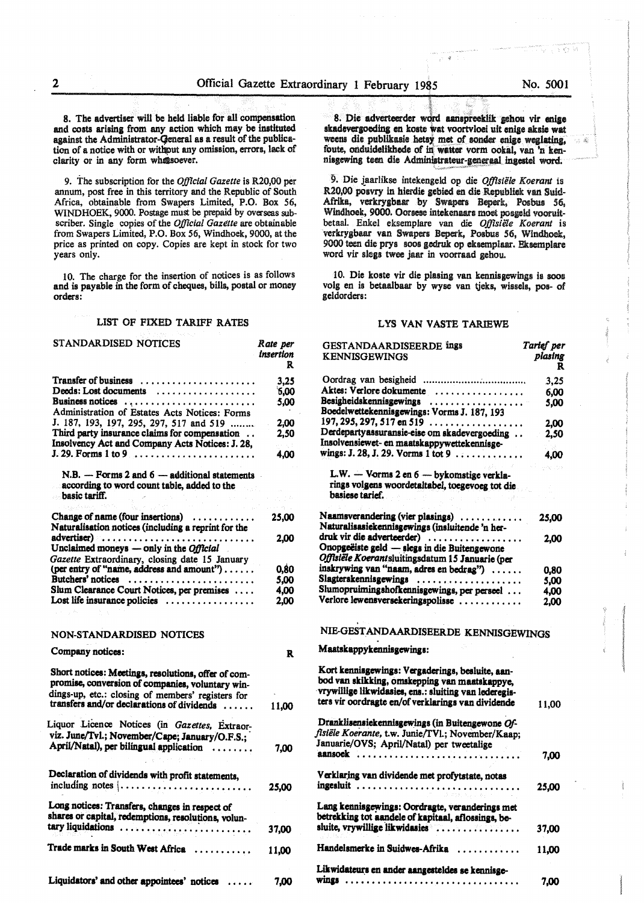8. The advertiser will be held liable for all compensation and costs arising from any action which may be instituted apinst the Administrator-Qeneral as a result of the publication of a notice with or witbput any omiaaion, errors, lack of clarity or in any form whatsoever.

9. The subscription for the *Official Gazette* is R20,00 per annum, post free in this territory and the Republic of South Africa, obtainable from Swapers Limited, P.O. Box 56, WINDHOEK, 9000. Postage must be prepaid by overseas subscriber. Single copies of the *Official Gazttte* are obtainable from Swapers Limited, P.O. Box 56, Windhoek, 9000, at the price as printed on copy. Copies are kept in stock for two years only.

10. The charge for the insertion of notices is as follows and is payable in the form of cheques, bills, postal or money orders:

#### LIST OF FIXED TARIFF RATES

| STANDARDISED NOTICES                                                                                                                                                                                       | Rate per<br>insertion<br>R |
|------------------------------------------------------------------------------------------------------------------------------------------------------------------------------------------------------------|----------------------------|
| <b>Transfer of business</b>                                                                                                                                                                                | 3.25                       |
| Deeds: Lost documents                                                                                                                                                                                      | 6,00                       |
| Business notices                                                                                                                                                                                           | 5,00                       |
| Administration of Estates Acts Notices: Forms                                                                                                                                                              |                            |
| J. 187, 193, 197, 295, 297, 517 and 519                                                                                                                                                                    | 2,00                       |
| Third party insurance claims for compensation                                                                                                                                                              | 2,50                       |
| Insolvency Act and Company Acts Notices: J. 28,                                                                                                                                                            |                            |
|                                                                                                                                                                                                            | 4,00                       |
| $N.B. -$ Forms 2 and $6 -$ additional statements<br>according to word count table, added to the                                                                                                            |                            |
| basic tariff.                                                                                                                                                                                              |                            |
|                                                                                                                                                                                                            |                            |
| Change of name (four insertions) $\dots$                                                                                                                                                                   | 25,00                      |
| Naturalisation notices (including a reprint for the                                                                                                                                                        |                            |
| advertiser)                                                                                                                                                                                                | 2.00                       |
| Unclaimed moneys - only in the Official                                                                                                                                                                    |                            |
| Gazette Extraordinary, closing date 15 January                                                                                                                                                             |                            |
| (per entry of "name, address and amount")                                                                                                                                                                  | 0.80                       |
|                                                                                                                                                                                                            |                            |
| Butchers' notices                                                                                                                                                                                          | 5.00                       |
| Slum Clearance Court Notices, per premises<br>Lost life insurance policies                                                                                                                                 | 4.00<br>2.00               |
| NON-STANDARDISED NOTICES                                                                                                                                                                                   |                            |
|                                                                                                                                                                                                            |                            |
| Company notices:                                                                                                                                                                                           | R                          |
| Short notices: Meetings, resolutions, offer of com-<br>promise, conversion of companies, voluntary win-<br>dings-up, etc.: closing of members' registers for<br>transfers and/or declarations of dividends | 11,00                      |
|                                                                                                                                                                                                            |                            |
| Liquor Licence Notices (in Gazettes, Extraor-                                                                                                                                                              |                            |
| viz. June/Tvl.; November/Cape; January/O.F.S.;                                                                                                                                                             |                            |
| April/Natal), per bilingual application                                                                                                                                                                    | 7,00                       |
| Declaration of dividends with profit statements,<br>including notes                                                                                                                                        | 25,00                      |
|                                                                                                                                                                                                            |                            |
| Long notices: Transfers, changes in respect of<br>shares or capital, redemptions, resolutions, volun-                                                                                                      |                            |
| tary liquidations                                                                                                                                                                                          | 37.00                      |
| Trade marks in South West Africa                                                                                                                                                                           | 11,00                      |
| Liquidators' and other appointees' notices                                                                                                                                                                 | 7,00                       |

**I I I I I I I I I I I I I** 8. Die adverteerder word aanspreeklik gehou vir enige skadevergoeding en koste wat voortvloei uit enige aksie wat weens die publikasie hetsy met of sonder enige weglating, foute, onduidelikhede of in watter vorm ookal, van 'n kennisgewing teen die Administrateur-generaal ingestel word.

9. Die jaarlikse intekengeld op die *Offtsiële Koerant* is R20,00 posvry in hierdie gebied en die Republiek van Suid-Afrika, verkrygbaar by Swapers Beperk, Posbus 56, Windhoek, 9000. Oorsese intekenaars moet posgeld vooruitbetaal. Enkel eksemplare van die Offisiële Koerant is verkrygbaar van Swapers Beperk, Posbus 56, Windhoek, 9000 teen die prys soos gedruk op eksemplaar. Eksemplare word vir slegs twee jaar in voorraad gehou.

10. Die koste vir die plasing van kennisgewings is soos volg en is betaalbaar by wyse van tjeks, wissels, pos- of geldorders:

## LYS VAN VASTE TARIEWE

| <b>GESTANDAARDISEERDE ings</b><br><b>KENNISGEWINGS</b>                                                                                                                                                           | Tarief per<br>plasing<br>R |
|------------------------------------------------------------------------------------------------------------------------------------------------------------------------------------------------------------------|----------------------------|
|                                                                                                                                                                                                                  | 3,25                       |
| Aktes: Verlore dokumente                                                                                                                                                                                         | 6,00                       |
| Besigheidskennisgewings<br>Boedelwettekennisgewings: Vorms J. 187, 193                                                                                                                                           | 5,00                       |
| $197, 295, 297, 517$ en $519$                                                                                                                                                                                    | 2.00                       |
| Derdepartyassuransie-eise om skadevergoeding<br>Insolvensiewet- en maatskappywettekennisge-                                                                                                                      | 2,50                       |
| wings: J. 28, J. 29. Vorms 1 tot 9                                                                                                                                                                               | 4,00                       |
| L.W. - Vorms 2 en 6 - bykomstige verkla-                                                                                                                                                                         |                            |
| rings volgens woordetaltabel, toegevoeg tot die<br>basiese tarief.                                                                                                                                               |                            |
| Naamsverandering (vier plasings)<br>Naturalisasiekennisgewings (insluitende 'n her-                                                                                                                              | 25,00                      |
| druk vir die adverteerder)                                                                                                                                                                                       | 2,00                       |
| Onopgeëiste geld - slegs in die Buitengewone<br>Offisiële Koerantsluitingsdatum 15 Januarie (per                                                                                                                 |                            |
| inskrywing van "naam, adres en bedrag")                                                                                                                                                                          | 0.80                       |
| Slagterskennisgewings                                                                                                                                                                                            | 5.00                       |
| Slumopruimingshofkennisgewings, per perseel                                                                                                                                                                      | 4.00                       |
| Verlore lewensversekeringspolisse                                                                                                                                                                                | 2,00                       |
| NIE-GESTANDAARDISEERDE KENNISGEWINGS                                                                                                                                                                             |                            |
| Maatskappykennisgewings:                                                                                                                                                                                         |                            |
| Kort kennisgewings: Vergaderings, besluite, aan-<br>bod van skikking, omskepping van maatskappye,<br>vrywillige likwidasies, ens.: sluiting van lederegis-<br>ters vir oordragte en/of verklarings van dividende | 11,00                      |
| Dranklisensiekennisgewings (in Buitengewone Of-<br>fisiële Koerante, t.w. Junie/TVl.; November/Kaap;                                                                                                             |                            |
| Januarie/OVS; April/Natal) per tweetalige                                                                                                                                                                        |                            |
|                                                                                                                                                                                                                  | 7.00                       |
| Verklaring van dividende met profytstate, notas                                                                                                                                                                  |                            |
|                                                                                                                                                                                                                  | 25,00                      |
| Lang kennisgewings: Oordragte, veranderings met<br>betrekking tot aandele of kapitaal, aflossings, be-<br>sluite, vrywillige likwidasies                                                                         |                            |
|                                                                                                                                                                                                                  | 37.00                      |
| Handelsmerke in Suidwes-Afrika                                                                                                                                                                                   | 11,00                      |
| Likwidateurs en ander aangesteldes se kennisge-                                                                                                                                                                  | 7,00                       |

7. Kr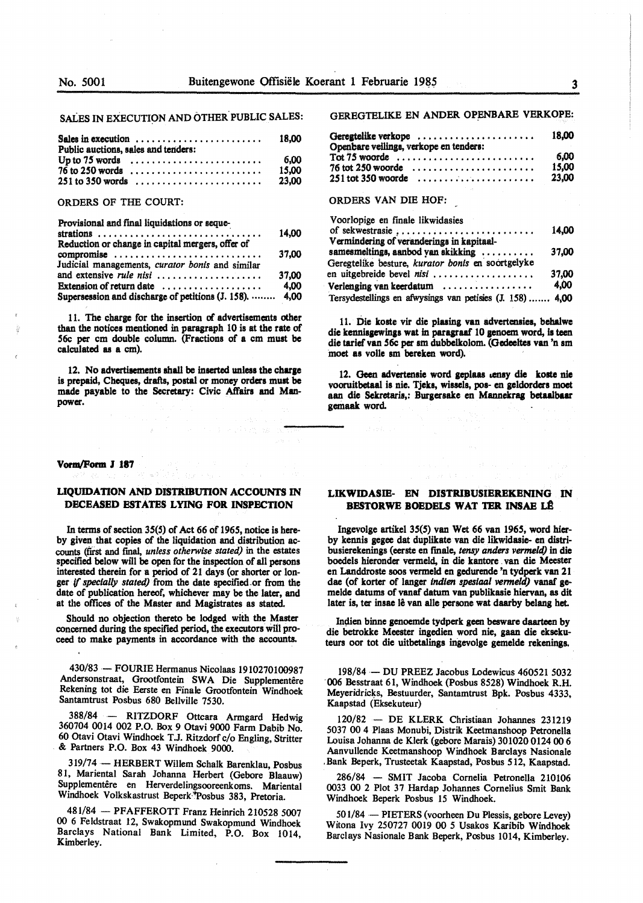SALES IN EXECUTION AND OTHER PUBLIC SALES:

| Sales in execution $\ldots \ldots \ldots \ldots \ldots \ldots \ldots$<br>Public auctions, sales and tenders: | 18.00 |
|--------------------------------------------------------------------------------------------------------------|-------|
| Up to 75 words $\dots \dots \dots \dots \dots \dots \dots \dots$                                             | 6.00  |
|                                                                                                              | 15.00 |
|                                                                                                              | 23.00 |

#### ORDERS OF THE COURT:

#### Provisional and final liquidations or seque-

|                                                         | 14.00 |
|---------------------------------------------------------|-------|
| Reduction or change in capital mergers, offer of        |       |
| compromise                                              | 37.00 |
| Judicial managements, curator bonis and similar         |       |
|                                                         | 37.00 |
| Extension of return date                                | 4.00  |
| Supersession and discharge of petitions (J. 158).  4,00 |       |

11. The charge for the insertion of advertisements other than the notices mentioned in paragraph 10 is at the rate of 56c per cm double column. (Fractiom of a cm muat be calculated **as a** cm).

12. No advertisements shall be inserted unless the charge is prepaid, Cheques, drafts, postal or money orders muat be made payable to the Secretary: Civic Affairs and Manpower.

## **Vorm/Form J 187**

## **LIQUIDATION AND DISTRIBUTION ACCOUNTS IN DECEASED ESTATES LYING FOR INSPECTION**

In terms of section 35(5) of Act *66* of 1965, notice is hereby given that copies of the liquidation and distribution accounts (first and final, *unless otherwise stated)* in the estates specified below will be open for the inspection of all persons interested therein for a period of 21 days (or shorter or longer ff *specially stated)* from the date specified.or from the date of publication hereof, whichever may be the later, and at the offices of the Master and Magistrates as stated.

Should no objection thereto be lodged with the Master concerned during the specified period, the executors will proceed to make payments in accordance with the accounts.

430/83 - FOURIE Hermanus Nicolaas 1910270100987 Andersonstraat, Grootfontein SWA Die Supplementêre Rekening tot die Eerste en Finale Grootfontein Windhoek Santamtrust Posbus 680 Bellville 7530.

388/84 - RITZDORF Ottcara Armgard Hedwig 360704 0014 002 P.O. Box 9 Otavi 9000 Farm Dabib No. 60 Otavi Otavi Windhoek T.J. Ritzdorf c/o Engling, Stritter & Partners P.O. Box 43 Windhoek 9000.

319/74 - HERBERT Willem Schalk Barenklau, Posbus 81, Mariental Sarah Johanna Herbert (Gebore Blaauw) Supplementêre en Herverdelingsooreenkoms. Mariental Windhoek Volkskastrust Beperk-"Posbus 383, Pretoria.

481/84 - PFAFFEROTT Franz Heinrich 210528 5007 00 6 Feldstraat 12, Swakopmund Swakopmund Wmdhoek Barclays National Bank Limited, P.O. Box 1014, Kimberley.

GEREGTELIKE EN ANDER OPENBARE VERKOPE:

| Geregtelike verkope<br>Openbare veilings, verkope en tenders: | 18.00 |
|---------------------------------------------------------------|-------|
| $Tot 75$ woorde                                               | 6.00  |
| $76$ tot 250 woorde                                           | 15.00 |
| $251$ tot 350 woorde                                          | 23.00 |

## ORDERS VAN DIE HOF:

| Voorlopige en finale likwidasies                          |       |
|-----------------------------------------------------------|-------|
| of sekwestrasie ;                                         | 14.00 |
| Vermindering of veranderings in kapitaal-                 |       |
| samesmeltings, aanbod van skikking                        | 37,00 |
| Geregtelike besture, kurator bonis en soortgelyke         |       |
| en uitgebreide bevel nisi                                 | 37.00 |
| Verlenging van keerdatum                                  | 4,00  |
| Tersydestellings en afwysings van petisies (J. 158)  4,00 |       |

11. Die koste vir die plasing van advertensies, behalwe die kennisgewings wat in paragraaf 10 genoem word, is teen die tarief van 56c per sm dubbelkolom. (Gedeeltes van 'n sm moet as voile sm bereken word).

12. Geen advertensie word geplaas .ensy die koste nie vooruitbetaal is nie. Tjeks, wissels, pos- en geldorders moet aan die Sekretaris,: Burgersake en Mannekrag betaalbaar gemaak word.

## **LIKWIDASIE- EN DISTRIBUSIEREKENING** IN **BESTORWE BOEDELS WAT TER INSAE LI!**

Ingevolge artiltel 35(5) van Wet *66* van 1965, word bierby kennis gegee dat duplikate van die likwidasie- en distribusierekenings (eerste en finale, *tensy anders vermeld)* in die boedels hieronder vermeld, in die kantore van die Meester en Landdroste soos vermeld en gedurende 'n tydperk van 21 dae (of korter of langer *indien spesiaal vermeld)* vanaf gemelde datums of vanaf datum van publikasie hiervan, as dit later is, ter insae lê van alle persone wat daarby belang het.

Indien binne genoemde tydperk geen besware daarteen by die betrokke Meester ingedien word nie, gaan die eksekuteurs oor tot die uitbetalings ingevolge gemelde **rekenings.** 

198/84 - DU PREEZ Jacobus Lodewicus 460521 5032 **·006** Besstraat 61, Windhoek (Posbus 8528) Windhoek R.H. Meyeridricks, Bestuurder, Santamtrust Bpk. Posbus 4333, Kaapstad (Eksekuteur)

120/82 - DE **KLERK** Christiaan Johannes 231219 5037 00 4 Plaas Monubi, Distrik Keetmanshoop Petronella Louisa Johanna de Klerk (gebore Marais) 301020 0124 00 6 Aanvullende Keetmanshoop Windhoek Barclays Nasionale . Bank Beperk, Trusteetak Kaapstad, Pos bus *5* 12, Kaapstad.

286/84 - SMIT Jacoba Cornelia Petronella 210106 0033 00 2 Plot 37 Hardap Johannes Cornelius Smit Bank Windhoek Beperk Posbus 15 Windhoek.

501/84 - PIETERS (voorheen Du Plessis, gebore Levey) Witona Ivy 250727 0019 00 *5* Usakos Karibib **Windhoek**  Barclays Nasionale Bank Beperk, Posbus 1014, Kimberley.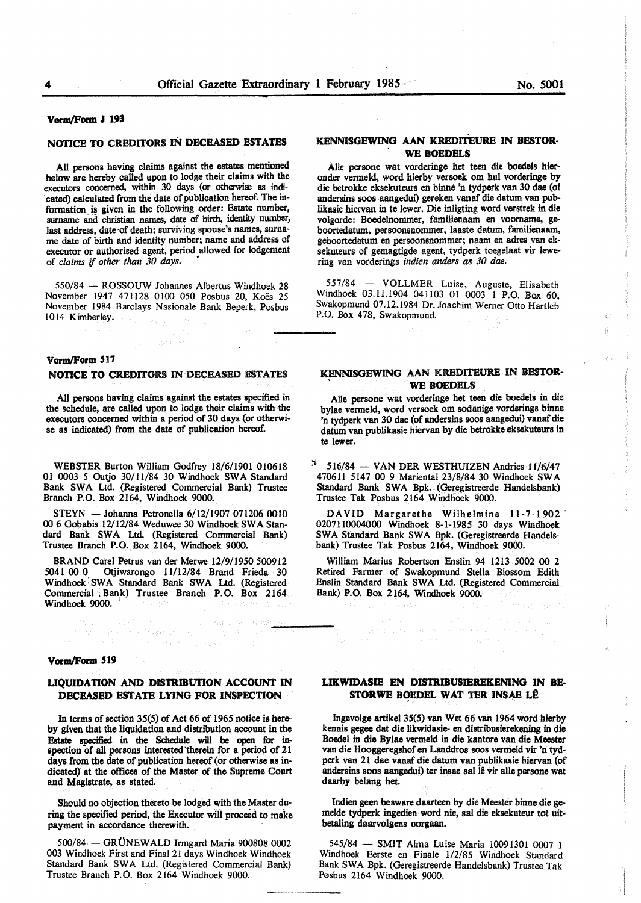#### **Vortn/Form J 193**

## **NOTICE TO CREDITORS** IN **DECEASED ESTATES**

All persons having claims against the estates mentioned below are hereby called upon to lodge their claims with the executors concerned, within 30 days (or otherwise as indi- . cated) calculated from the date of publication hereof. The information is given in the following order: Estate number, surname and christian names, date of birth, identity number, last address, date of death; surviving spouse's names, surname date of birth and identity number; name and address of executor or authorised agent, period allowed for lodgement of *claims* if *other than 30 days.* •

550/84 - ROSSOUW Johannes Albertus Windhoek 28 November 1947 471128 0100 050 Posbus 20, Koës 25 November 1984 Barclays Nasionale Bank Beperk, Posbus 1014 Kimberley.

## **Vorm/Form 517**

### **NOTICE TO CREDITORS** IN **DECEASED ESTATES**

All persons having claims against the estates specified in the schedule, are called upon to lodge their claims with the executors concerned within a period of 30 days (or otherwise as indicated) from the date of publication hereof.

WEBSTER Burton William Godfrey 18/6/1901 010618 01 0003 *5* Outjo 30/11/84 30 Windhoek SWA Standard Bank **SW A** Ltd. (Registered Commercial Bank) Trustee Branch P.O. Box 2164, Windhoek 9000.

STEYN - Johanna Petronella 6/12/1907 071206 0010 **00** 6 Gobabis 12/12/84 Weduwee 30 Windhoek SWA Standard Bank SWA Ltd. (Registered Commercial Bank) Trustee Branch P.O. Box 2164, Windhoek 9000.

BRAND Carel Petrus van der Merwe 12/9/1950 500912 5041 00 0 Otjiwarongo 11/12/84 Brand Frieda 30 Windhoek SWA Standard Bank SWA Ltd. (Registered Commercial i Bank) Trustee Branch P.O. Box 2164 Windhoek 9000.

فالعالى مهمون

# .<br>1965년 **Vorm/Form 519**

## **LIQUIDATION AND DISTRIBUTION ACCOUNT IN DECEASED ESTATE LYING FOR INSPECTION**

In terms of section 35(5) of Act 66 of 1965 notice is hereby given that the liquidation and distribution account in the Estate specified in the Schedule will **be open** for inspection of all persons interested'therein for a period of 21 days from the date of publication hereof (or otherwise as indicated)' at the offices of the Master of the Supreme Court and Magistrate, as stated.

Should no objection thereto be lodged with the Master during the specified period, the Executor will proceed to make payment in accordance therewith.

500/84 - GRÜNEWALD Irmgard Maria 900808 0002 003 Windhoek First and Final 21 days Windhoek Windhoek Standard Bank SWA Ltd. (Registered Commercial Bank) Trustee Branch P.O. Box 2164 Windhoek 9000.

## **KENNISGEWING AAN KREDITEURE IN BESTOR-WE BOEDELS**

Alie persone wat vorderinge bet teen die boedels hieronder vermeld, word hierby versoek om hul vorderinge by die betrokke eksekuteurs en binne 'n tydperk van 30 dae (of andersins soos aangedui) gereken vanaf die datum van publikasie hiervan in te lewer. Die inligting word verstrek in die volgorde: Boedelnommer, familienaam en voorname, geboortedatum, persoonsnommer, laaste datum, familienaam, geboortedatum en persoonsnommer; naam en adres van eksekuteurs of gemagtigde agent, tydperk toegelaat vir lewering van vorderings *indien anders as 30 dae.* 

557/84 - VOLLMER Luise, Auguste, Elisabeth Windhoek 03.11.1904 041103 01 0003 I P.O. Box 60, Swakopmund 07.12.1984 Dr. Joachim Werner Otto Hartleb P.O. Box 478, Swakopmund.

## **KENNISGEWING AAN** KREDITEURE IN **BESTOR-** . **WE BOEDELS**

Alle persone wat vorderinge het teen die boedels in die bylae vermeld, word versoek om sodanige vorderings binne 'n tydperk van 30 dae (of andersins soos aangedui) vanaf die datum van publikasie hiervan by die betrokke eksekuteurs in te lewer.

 $516/84$  - VAN DER WESTHUIZEN Andries 11/6/47 470611 5147 00 9 Mariental 23/8/84 30 Windhoek SWA Standard Bank SWA Bpk. (Geregistreerde Handelsbank) Trustee Tak Posbus 2164 Windhoek 9000.

DAVID Margarethe Wilhelmine 11-7-1902 0207110004000 Windhoek 8-1-1985 30 days Windhoek SWA Standard Bank SWA Bpk. (Geregistreerde Handelsbank) Trustee Tak Posbus 2164, Windhoek 9000.

William Marius Robertson Enslin 94 1213 5002 00 2 Retired Farmer of Swakopmund Stella Blossom Edith Enslin Standard Bank SWA Ltd. (Registered Commercial Bank) P.O. Box 2164, Windhoek 9000.

## **LIKWIDASIE EN DISTRJBUSIEREKENING** IN **BE-**STORWE BOEDEL WAT TER INSAE LÊ

Ingevolge artikel 35(5) van Wet 66 van 1964 word hierby kennis gegee dat die likwidasie- en distribusierekening in die Boedel in die **Bylae** vermeld in die kantore van die Meester van die Hooggeregshof en Landdros soos vermeld vir 'n tydperk van 21 dae vanaf die datum van publikasie hiervan (of andersins soos aangedui) ter insae sal lê vir alle persone wat daarby belang het.

Indien geen besware daarteen by die Meester binne die gemelde tydperk ingedien word nie, sal die eksekuteur tot uitbetaling daarvolgens oorgaan.

545/84 - SMIT Alma Luise Maria 10091301 0007 1 Windhoek Eerste en Finale l/2/85 Windhoek Standard Bank SWA Bpk. (Geregistreerde Handelsbank) Trustee Tak Posbus 2164 Windhoek 9000.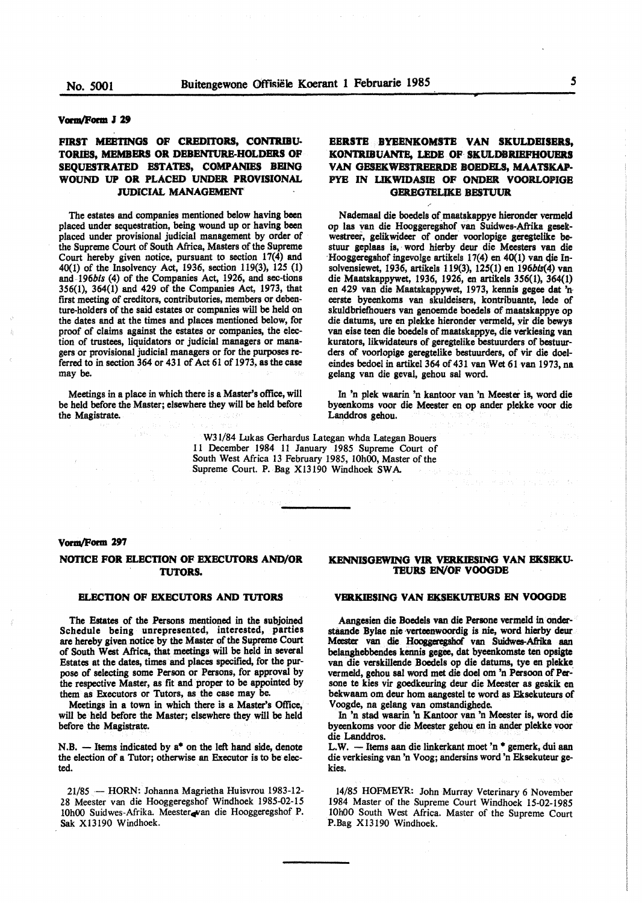#### **Vona/Form** *I* **29**

## FIRST MEETINGS OF CREDITORS, CONTRIBU-**TORIES, MEMBERS OR DEBENTURE-HOLDERS OF SEQUESTRATED ESTATES, COMPANIES BEING WOUND UP OR PLACED UNDER PROVISIONAL JUDICIAL MANAGEMENT**

The estates and companies mentioned below having been placed under sequestration, being wound up or having been placed under provisional judicial management by order of the Supreme Court of South Africa, Masters of the Supreme Court hereby given notice, pursuant to section  $17(4)$  and 40(1) of the Insolvency Act, 1936, section 119(3), 125 (1) and 196bis (4) of the Companies Act, 1926, and sec-tions 356(1), 364(1) and 429 of the Companies Act, 1973, that first meeting of creditors, contributories, members or debenture-holders of the said estates or companies will be held on the dates and at the times and places mentioned below, for proof of claims against the estates or companies, the election of trustees, liquidators or judicial managers or managers or provisional judicial managers or for the purposes referred to in section 364 or 431 of Act 61 of 1973, as the case may be.

Meetings in a place in which there is a Master's office, will be held before the Master; elsewhere they will be held before the Magistrate.

## **EERSTE BYEENKOMSTE VAN SKULDEISERS,**  KONTRIBUANTE, LEDE OF SKULDBRIEFHOUERS **VAN GESEKWESTREERDE BOEDELS. MAATSKAP-**PYE IN **LIKWIDASIB OF ONDBR. VOORLOPIGE GEREGTEUKE BESTUVR**

Nademaal die boedels of maatskappye hieronder vermeld op las van die Hooggeregshof van Suidwes-Aftika geseltwestreer, gelikwideer of onder voorlopige geregtelike bestuur geplaas is, word hierby deur die Meesters van die ·Hooggeregshof ingevolge artikels 17(4) en 40(1) van qie Insolvensiewet, 1936, artikels 119(3), 125(1) en 196bls(4) van die Maatskappywet, 1936, 1926, en artikels 356(1), 364(1) en 429 van die Maatskappywet, 1973, kennis gegee dat 'n· eerste byeenkoms van skuldeisers, kontribuante, lede of skuldbriefhouers van genoemde boedels of maatskappye op die datums, ure en plekke hieronder vermeld, vir die bewys van eise teen die boedels of maatskappye, die verkiesing van kurators, likwidateurs of geregtelike bestuurders of bestuurders of voorlopige geregtelike bestuurders, of vir die doeleindes bedoel in artikel 364 of 431 van Wet 61 van 1973, na gelang van die geval, gehou sal word.

In 'n plek waarin 'n kantoor van 'n Meester is, word die byeenkoms voor die Meester en op ander plekke voor die Landdros gehou.

W3 l/84 Lukas Gerhardus Lategan whda Lategan Bouers 11 December 1984 11 January 1985 Supreme Court of South West Africa 13 February 1985, 10h00, Master of the Supreme Court. P. Bag Xl3190 Windhoek SWA

#### **Vorm/Form 297**

## **NOTICE FOR ELECTION OF EXECUTORS AND/OR TUTORS.**

#### **ELECTION OF EXECUTORS AND TUTORS**

**The Estates of the Persons mentioned** in **the subjoined Schedule being unrepresented, interested, parties are hereby given** notice by **the Master** of **the Supreme Court**  of South **West Africa, that meetings** will **be held** in several **Estates at the dates, times** and **places specified,** for the purpose of **selecting some Person** or **Persons,** for **approval** by the **respective Master, as** fit and proper to **be appointed** by them as Executors or Tutors, as the **case may** be.

Meetings in a town in which **there is a Master's Office,**  will be held **before the Master; elsewhere they** will **be held**  before the **Magistrate.** 

**N .B.** - **Items indicated by** a• on the left hand **side, denote**  the election of a Tutor; otherwise an Executor is to **be elec**ted.

21/85 - HORN: Johanna Magrietha Huisvrou 1983-12-28 Meester van die Hooggeregshof Windhoek 1985-02-15 10h00 Suidwes-Afrika. Meester van die Hooggeregshof P. Sak X13190 Windhoek.

## **KENNISGEWING VIR VERKIESING VAN EKSEKU-TEURS EN/OF VOOGDE**

#### **VERKIESING VAN EKSEKUTEURS EN VOOGDE**

Aangesien die Boedels van die Persone vermeld in onderstaande Bylae nie verteenwoordig is nie, word hierby deur Meester van die Hooggeregshof van Suidwes-Afrika aan belanghebbendes kennis gegee, dat byeenkomste ten opsigte van die verskillende Boedels op die datums, tye en plekke vermeld, gehou sal word met die doel om 'n Persoon of Persone te kies vir goedkeuring deur die Meester as geskik en bekwaam om deur hom aangestel te word as Eksekuteurs of Voogde, na gelang van omstandighede.

In 'n stad waarin 'n Kantoor van 'n Meester is, word die byeenkoms voor die Meester gehou en in ander plekke voor die Landdros.

L.W. - Items aan die linkerkant moet 'n \* gemerk, dui aan die verkiesing van 'n Voog; andersins word 'n Eksekuteur gekies.

14/85 HOFMEYR: John Murray Veterinary 6 November 1984 Master of the Supreme Court Windhoek 15-02-1985 10h00 South West Africa. Master of the Supreme Court P.Bag Xl3190 Windhoek.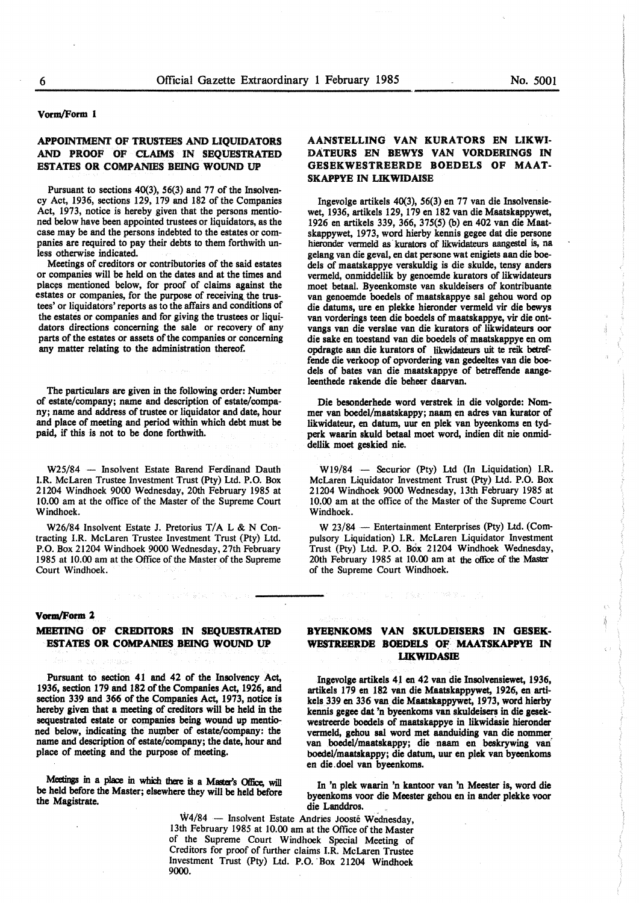#### **Vorm/Form 1**

## **APPOINTMENT OF TRUSTEES AND LIQUIDATORS AND PROOF OF CLAIMS IN SEQUESTRATED ESTATES OR COMPANIES BEING WOUND UP**

Pursuant to sections 40(3), 56(3) and 77 of the Insolvency Act, 1936, sections 129, 179 and 182 of the Companies Act, 1973, notice is hereby given that the persons mentioned below have been appointed trustees or liquidators, as the case may be and the persons indebted to the estates or companies are required to pay their debts to them forthwith unless otherwise indicated.

Meetings of creditors or contributories of the said estates or companies will be held on the dates and at the times and places mentioned below, for proof of claims against the estates or companies, for the purpose of receiving the trustees' or liquidators' reports as to the affairs and conditions of the estates or companies and for giving the trustees or liquidators directions concerning the sale or recovery of any parts of the estates or assets of the companies or concerning any matter relating to the administration thereof.

The particulars are given in the following order: Number of estate/company; name and description of estate/company; name and address of trustee or liquidator and date, hour and place of **meeting** and period within which debt must be paid, if this is not to be done forthwith.

W25/84 - Insolvent Estate Barend Ferdinand Dauth I.R. McLaren Trustee Investment Trust (Pty) Ltd. P.O. Box 21204 Windhoek 9000 Wednesday, 20th February 1985 at 10.00 am at the office of the Master of the Supreme Court Windhoek.

W26/84 Insolvent Estate J. Pretorius T/A L & N Contracting I.R. McLaren Trustee Investment Trust (Pty) Ltd. P.O. Box 21204 Windhoek 9000 Wednesday, 27th February 1985 at 10.00 am at the Office of the Master of the Supreme Court Windhoek.

## **Vorm/Form 2**

## **MEEl'ING OF CREDITORS IN SEQUESTRATED ESTATES OR COMPANIES BEING WOUND UP**

医马耳斯氏征 计复合管 網絡 医马斯坦氏病

Pursuant to section 41 and 42 of the Insolvency Act, 1936, section 179 and 182 of the Companies Act, 1926, and section 339 and 366 of the Companies Act, 1973, notice is hereby given that a meeting of creditors will be held in the sequestrated estate or companies being wound up mentioned below, indicating the number of estate/company: the name and description of estate/company; the date, hour and place of meeting and the purpose of meeting.

Meetings in a place in which there is a Master's Office, will be held before the Master; elsewhere they will be held before the Magistrate.

Ingevolge artikels 4J en 42 van die Insolvensiewet, 1936, artikels 179 en 182 van die Maatskappywet, 1926, en artikels 339 en 336 van die Maatskappywet, 1973, word hierby kennis **gegee** dat 'n byeenkoms van skuldeisers in die gesek:-

westreerde boedels of maatskappye in likwidasie hieronder vermeld, gehou sa1 word met aanduiding van die nommer van boedel/maatskappy; die naam en beskrywing van boedel/maatskappy; die datum, uur en plek van byeenkoms en die.doel van byeenkoms.

In 'n plek waarin 'n kantoor van 'n Meester is, word die byeenkoms voor die Meester gehou en in ander **plekke** voor die Landdros.

\\14/84 - Insolvent Estate Andries Jooste Wednesday, 13th February 1985 at 10.00 am at the Office of the Master of the Supreme Court Windhoek Special Meeting of Creditors for proof of further claims I.R. McLaren Trustee Investment Trust (Pty) Ltd. P.O. · Box 21204 Windhoek 9000.

## **AANSTELLING VAN KURATORS EN LIKWI-DATEURS EN DEWYS VAN VORDERINGS IN**  GESEKWESTREERDE BOEDELS OF MAAT-**SKAPPYE IN LIKWIDAISE**

lngevolge artikels 40(3), 56(3) en 77 van die lnsolvensiewet, 1936, artikels 129, 179 en 182 van die Maatskappywet, 1926 en artikels 339, 366, 375(5) (b) en 402 van die Maatskappywet, 1973, word hierby kennis gegee dat die persone hieronder vermeld as kurators of likwidateurs aangestel is, na gelang van die geval, en dat persone wat enigiets aan die boedels of maatskappye verskuldig is die skulde, tensy anders vermeld, onmiddellik by genoemde kurators of likwidateurs moet betaal. Byeenkomste van skuldeisers of kontribuante van genoemde boedels of maatskappye sal gehou word op die datums, ure en plekke hieronder vermeld vir die bewys van vorderings teen die boedels of maatskappye, vir die ontvangs van die verslae van die kurators of likwidateurs oor die sake en toestand van die boedels of maatskappye en om opdragte aan die kurators of likwidateurs uit te rejk betreffende die verkoop of opvordering van gedeeltes van die boedels of bates van die maatskappye of betreffende aangeleenthede rakende die beheer daarvan.

Die besonderhede word verstrek in die volgorde: Nommer van boedel/maatskappy; naam en adres van kurator of likwidateur, en datum, uur en plek van byeenkoms en tydperk **waarin** skuld betaal moet word, indien dit nie onmiddellik moet **geskied** nie.

W19/84 - Securior (Pty) Ltd (In Liquidation) I.R. McLaren Liquidator Investment Trust (Pty) Ltd. P.O. Box 21204 Windhoek 9000 Wednesday, 13th February 1985 at 10.00 am at the office of the Master of the Supreme Court Windhoek.

W 23/84 - Entertainment Enterprises (Pty) Ltd. (Compulsory Liquidation) I.R. McLaren Liquidator Investment Trust (Pty) Ltd. P.O. Box 21204 Windhoek Wednesday, 20th February 1985 at 10.00 am at the office of the Master of the Supreme Court Windhoek.

**BYEENKOMS VAN SKULDEISERS IN GESEK-**WESTREERDE BOEDELS OF MAATSKAPPYE IN **LJK.WIDASIE**